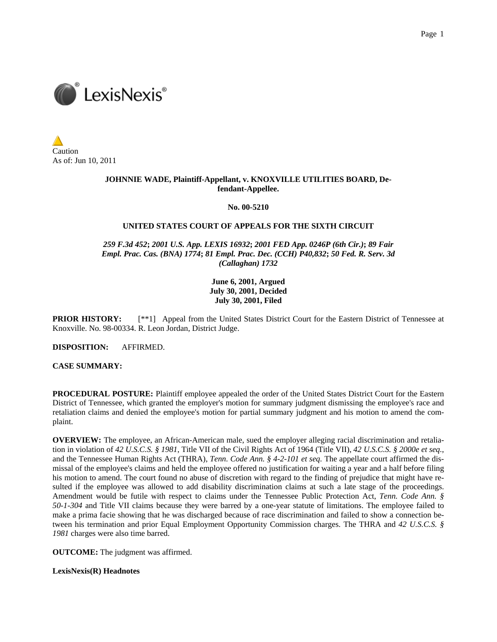

Caution As of: Jun 10, 2011

## **JOHNNIE WADE, Plaintiff-Appellant, v. KNOXVILLE UTILITIES BOARD, Defendant-Appellee.**

### **No. 00-5210**

### **UNITED STATES COURT OF APPEALS FOR THE SIXTH CIRCUIT**

*259 F.3d 452***;** *2001 U.S. App. LEXIS 16932***;** *2001 FED App. 0246P (6th Cir.)***;** *89 Fair Empl. Prac. Cas. (BNA) 1774***;** *81 Empl. Prac. Dec. (CCH) P40,832***;** *50 Fed. R. Serv. 3d (Callaghan) 1732*

# **June 6, 2001, Argued July 30, 2001, Decided July 30, 2001, Filed**

**PRIOR HISTORY:** [\*\*1] Appeal from the United States District Court for the Eastern District of Tennessee at Knoxville. No. 98-00334. R. Leon Jordan, District Judge.

**DISPOSITION:** AFFIRMED.

**CASE SUMMARY:**

**PROCEDURAL POSTURE:** Plaintiff employee appealed the order of the United States District Court for the Eastern District of Tennessee, which granted the employer's motion for summary judgment dismissing the employee's race and retaliation claims and denied the employee's motion for partial summary judgment and his motion to amend the complaint.

**OVERVIEW:** The employee, an African-American male, sued the employer alleging racial discrimination and retaliation in violation of *42 U.S.C.S. § 1981*, Title VII of the Civil Rights Act of 1964 (Title VII), *42 U.S.C.S. § 2000e et seq.*, and the Tennessee Human Rights Act (THRA), *Tenn. Code Ann. § 4-2-101 et seq.* The appellate court affirmed the dismissal of the employee's claims and held the employee offered no justification for waiting a year and a half before filing his motion to amend. The court found no abuse of discretion with regard to the finding of prejudice that might have resulted if the employee was allowed to add disability discrimination claims at such a late stage of the proceedings. Amendment would be futile with respect to claims under the Tennessee Public Protection Act, *Tenn. Code Ann. § 50-1-304* and Title VII claims because they were barred by a one-year statute of limitations. The employee failed to make a prima facie showing that he was discharged because of race discrimination and failed to show a connection between his termination and prior Equal Employment Opportunity Commission charges. The THRA and *42 U.S.C.S. § 1981* charges were also time barred.

**OUTCOME:** The judgment was affirmed.

**LexisNexis(R) Headnotes**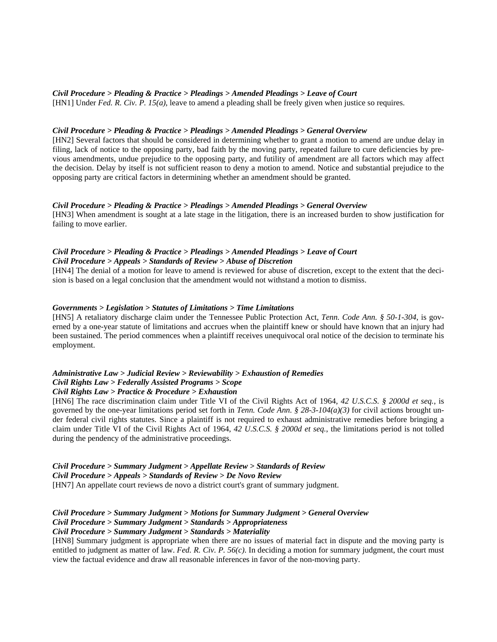## *Civil Procedure > Pleading & Practice > Pleadings > Amended Pleadings > Leave of Court*

[HN1] Under *Fed. R. Civ. P. 15(a)*, leave to amend a pleading shall be freely given when justice so requires.

### *Civil Procedure > Pleading & Practice > Pleadings > Amended Pleadings > General Overview*

[HN2] Several factors that should be considered in determining whether to grant a motion to amend are undue delay in filing, lack of notice to the opposing party, bad faith by the moving party, repeated failure to cure deficiencies by previous amendments, undue prejudice to the opposing party, and futility of amendment are all factors which may affect the decision. Delay by itself is not sufficient reason to deny a motion to amend. Notice and substantial prejudice to the opposing party are critical factors in determining whether an amendment should be granted.

### *Civil Procedure > Pleading & Practice > Pleadings > Amended Pleadings > General Overview*

[HN3] When amendment is sought at a late stage in the litigation, there is an increased burden to show justification for failing to move earlier.

#### *Civil Procedure > Pleading & Practice > Pleadings > Amended Pleadings > Leave of Court Civil Procedure > Appeals > Standards of Review > Abuse of Discretion*

[HN4] The denial of a motion for leave to amend is reviewed for abuse of discretion, except to the extent that the decision is based on a legal conclusion that the amendment would not withstand a motion to dismiss.

#### *Governments > Legislation > Statutes of Limitations > Time Limitations*

[HN5] A retaliatory discharge claim under the Tennessee Public Protection Act, *Tenn. Code Ann. § 50-1-304*, is governed by a one-year statute of limitations and accrues when the plaintiff knew or should have known that an injury had been sustained. The period commences when a plaintiff receives unequivocal oral notice of the decision to terminate his employment.

### *Administrative Law > Judicial Review > Reviewability > Exhaustion of Remedies Civil Rights Law > Federally Assisted Programs > Scope Civil Rights Law > Practice & Procedure > Exhaustion*

[HN6] The race discrimination claim under Title VI of the Civil Rights Act of 1964, *42 U.S.C.S. § 2000d et seq.*, is governed by the one-year limitations period set forth in *Tenn. Code Ann. § 28-3-104(a)(3)* for civil actions brought under federal civil rights statutes. Since a plaintiff is not required to exhaust administrative remedies before bringing a claim under Title VI of the Civil Rights Act of 1964, *42 U.S.C.S. § 2000d et seq.*, the limitations period is not tolled during the pendency of the administrative proceedings.

*Civil Procedure > Summary Judgment > Appellate Review > Standards of Review Civil Procedure > Appeals > Standards of Review > De Novo Review* [HN7] An appellate court reviews de novo a district court's grant of summary judgment.

### *Civil Procedure > Summary Judgment > Motions for Summary Judgment > General Overview Civil Procedure > Summary Judgment > Standards > Appropriateness Civil Procedure > Summary Judgment > Standards > Materiality*

[HN8] Summary judgment is appropriate when there are no issues of material fact in dispute and the moving party is entitled to judgment as matter of law. *Fed. R. Civ. P. 56(c)*. In deciding a motion for summary judgment, the court must view the factual evidence and draw all reasonable inferences in favor of the non-moving party.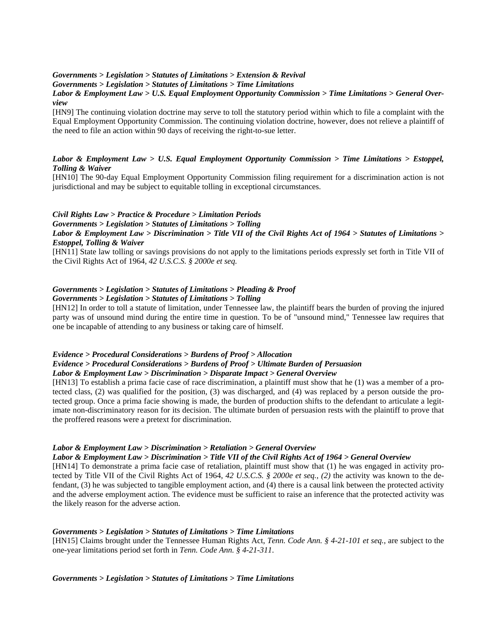#### *Governments > Legislation > Statutes of Limitations > Extension & Revival*

*Governments > Legislation > Statutes of Limitations > Time Limitations*

# *Labor & Employment Law > U.S. Equal Employment Opportunity Commission > Time Limitations > General Overview*

[HN9] The continuing violation doctrine may serve to toll the statutory period within which to file a complaint with the Equal Employment Opportunity Commission. The continuing violation doctrine, however, does not relieve a plaintiff of the need to file an action within 90 days of receiving the right-to-sue letter.

# *Labor & Employment Law > U.S. Equal Employment Opportunity Commission > Time Limitations > Estoppel, Tolling & Waiver*

[HN10] The 90-day Equal Employment Opportunity Commission filing requirement for a discrimination action is not jurisdictional and may be subject to equitable tolling in exceptional circumstances.

# *Civil Rights Law > Practice & Procedure > Limitation Periods Governments > Legislation > Statutes of Limitations > Tolling Labor & Employment Law > Discrimination > Title VII of the Civil Rights Act of 1964 > Statutes of Limitations > Estoppel, Tolling & Waiver*

[HN11] State law tolling or savings provisions do not apply to the limitations periods expressly set forth in Title VII of the Civil Rights Act of 1964, *42 U.S.C.S. § 2000e et seq.*

# *Governments > Legislation > Statutes of Limitations > Pleading & Proof*

# *Governments > Legislation > Statutes of Limitations > Tolling*

[HN12] In order to toll a statute of limitation, under Tennessee law, the plaintiff bears the burden of proving the injured party was of unsound mind during the entire time in question. To be of "unsound mind," Tennessee law requires that one be incapable of attending to any business or taking care of himself.

# *Evidence > Procedural Considerations > Burdens of Proof > Allocation Evidence > Procedural Considerations > Burdens of Proof > Ultimate Burden of Persuasion Labor & Employment Law > Discrimination > Disparate Impact > General Overview*

[HN13] To establish a prima facie case of race discrimination, a plaintiff must show that he (1) was a member of a protected class, (2) was qualified for the position, (3) was discharged, and (4) was replaced by a person outside the protected group. Once a prima facie showing is made, the burden of production shifts to the defendant to articulate a legitimate non-discriminatory reason for its decision. The ultimate burden of persuasion rests with the plaintiff to prove that the proffered reasons were a pretext for discrimination.

### *Labor & Employment Law > Discrimination > Retaliation > General Overview*

### *Labor & Employment Law > Discrimination > Title VII of the Civil Rights Act of 1964 > General Overview*

[HN14] To demonstrate a prima facie case of retaliation, plaintiff must show that (1) he was engaged in activity protected by Title VII of the Civil Rights Act of 1964, *42 U.S.C.S. § 2000e et seq.*, *(2)* the activity was known to the defendant, (3) he was subjected to tangible employment action, and (4) there is a causal link between the protected activity and the adverse employment action. The evidence must be sufficient to raise an inference that the protected activity was the likely reason for the adverse action.

### *Governments > Legislation > Statutes of Limitations > Time Limitations*

[HN15] Claims brought under the Tennessee Human Rights Act, *Tenn. Code Ann. § 4-21-101 et seq.*, are subject to the one-year limitations period set forth in *Tenn. Code Ann. § 4-21-311*.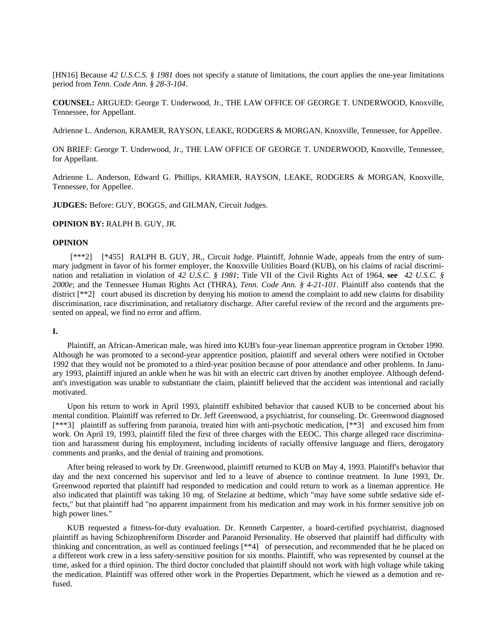[HN16] Because *42 U.S.C.S. § 1981* does not specify a statute of limitations, the court applies the one-year limitations period from *Tenn. Code Ann. § 28-3-104*.

**COUNSEL:** ARGUED: George T. Underwood, Jr., THE LAW OFFICE OF GEORGE T. UNDERWOOD, Knoxville, Tennessee, for Appellant.

Adrienne L. Anderson, KRAMER, RAYSON, LEAKE, RODGERS & MORGAN, Knoxville, Tennessee, for Appellee.

ON BRIEF: George T. Underwood, Jr., THE LAW OFFICE OF GEORGE T. UNDERWOOD, Knoxville, Tennessee, for Appellant.

Adrienne L. Anderson, Edward G. Phillips, KRAMER, RAYSON, LEAKE, RODGERS & MORGAN, Knoxville, Tennessee, for Appellee.

**JUDGES:** Before: GUY, BOGGS, and GILMAN, Circuit Judges.

**OPINION BY:** RALPH B. GUY, JR.

### **OPINION**

 [\*\*\*2] [\*455] RALPH B. GUY, JR., Circuit Judge. Plaintiff, Johnnie Wade, appeals from the entry of summary judgment in favor of his former employer, the Knoxville Utilities Board (KUB), on his claims of racial discrimination and retaliation in violation of *42 U.S.C. § 1981*; Title VII of the Civil Rights Act of 1964, **see** *42 U.S.C. § 2000e*; and the Tennessee Human Rights Act (THRA), *Tenn. Code Ann. § 4-21-101*. Plaintiff also contends that the district [\*\*2] court abused its discretion by denying his motion to amend the complaint to add new claims for disability discrimination, race discrimination, and retaliatory discharge. After careful review of the record and the arguments presented on appeal, we find no error and affirm.

#### **I.**

Plaintiff, an African-American male, was hired into KUB's four-year lineman apprentice program in October 1990. Although he was promoted to a second-year apprentice position, plaintiff and several others were notified in October 1992 that they would not be promoted to a third-year position because of poor attendance and other problems. In January 1993, plaintiff injured an ankle when he was hit with an electric cart driven by another employee. Although defendant's investigation was unable to substantiate the claim, plaintiff believed that the accident was intentional and racially motivated.

Upon his return to work in April 1993, plaintiff exhibited behavior that caused KUB to be concerned about his mental condition. Plaintiff was referred to Dr. Jeff Greenwood, a psychiatrist, for counseling. Dr. Greenwood diagnosed [\*\*\*3] plaintiff as suffering from paranoia, treated him with anti-psychotic medication, [\*\*3] and excused him from work. On April 19, 1993, plaintiff filed the first of three charges with the EEOC. This charge alleged race discrimination and harassment during his employment, including incidents of racially offensive language and fliers, derogatory comments and pranks, and the denial of training and promotions.

After being released to work by Dr. Greenwood, plaintiff returned to KUB on May 4, 1993. Plaintiff's behavior that day and the next concerned his supervisor and led to a leave of absence to continue treatment. In June 1993, Dr. Greenwood reported that plaintiff had responded to medication and could return to work as a lineman apprentice. He also indicated that plaintiff was taking 10 mg. of Stelazine at bedtime, which "may have some subtle sedative side effects," but that plaintiff had "no apparent impairment from his medication and may work in his former sensitive job on high power lines."

KUB requested a fitness-for-duty evaluation. Dr. Kenneth Carpenter, a board-certified psychiatrist, diagnosed plaintiff as having Schizophreniform Disorder and Paranoid Personality. He observed that plaintiff had difficulty with thinking and concentration, as well as continued feelings [\*\*4] of persecution, and recommended that he be placed on a different work crew in a less safety-sensitive position for six months. Plaintiff, who was represented by counsel at the time, asked for a third opinion. The third doctor concluded that plaintiff should not work with high voltage while taking the medication. Plaintiff was offered other work in the Properties Department, which he viewed as a demotion and refused.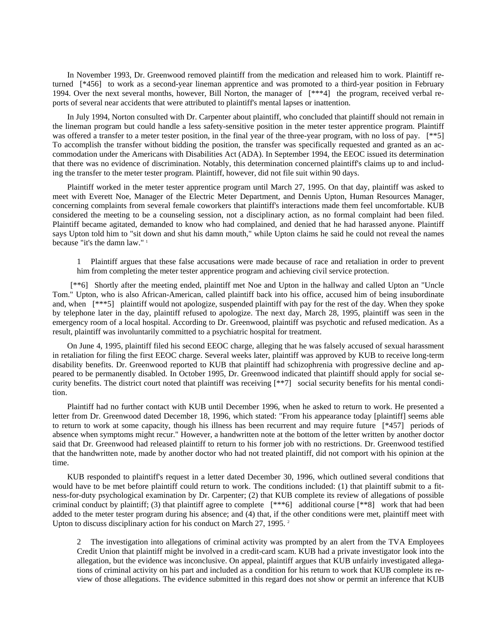In November 1993, Dr. Greenwood removed plaintiff from the medication and released him to work. Plaintiff returned [\*456] to work as a second-year lineman apprentice and was promoted to a third-year position in February 1994. Over the next several months, however, Bill Norton, the manager of [\*\*\*4] the program, received verbal reports of several near accidents that were attributed to plaintiff's mental lapses or inattention.

In July 1994, Norton consulted with Dr. Carpenter about plaintiff, who concluded that plaintiff should not remain in the lineman program but could handle a less safety-sensitive position in the meter tester apprentice program. Plaintiff was offered a transfer to a meter tester position, in the final year of the three-year program, with no loss of pay. [\*\*5] To accomplish the transfer without bidding the position, the transfer was specifically requested and granted as an accommodation under the Americans with Disabilities Act (ADA). In September 1994, the EEOC issued its determination that there was no evidence of discrimination. Notably, this determination concerned plaintiff's claims up to and including the transfer to the meter tester program. Plaintiff, however, did not file suit within 90 days.

Plaintiff worked in the meter tester apprentice program until March 27, 1995. On that day, plaintiff was asked to meet with Everett Noe, Manager of the Electric Meter Department, and Dennis Upton, Human Resources Manager, concerning complaints from several female coworkers that plaintiff's interactions made them feel uncomfortable. KUB considered the meeting to be a counseling session, not a disciplinary action, as no formal complaint had been filed. Plaintiff became agitated, demanded to know who had complained, and denied that he had harassed anyone. Plaintiff says Upton told him to "sit down and shut his damn mouth," while Upton claims he said he could not reveal the names because "it's the damn law."<sup>1</sup>

1 Plaintiff argues that these false accusations were made because of race and retaliation in order to prevent him from completing the meter tester apprentice program and achieving civil service protection.

 [\*\*6] Shortly after the meeting ended, plaintiff met Noe and Upton in the hallway and called Upton an "Uncle Tom." Upton, who is also African-American, called plaintiff back into his office, accused him of being insubordinate and, when [\*\*\*5] plaintiff would not apologize, suspended plaintiff with pay for the rest of the day. When they spoke by telephone later in the day, plaintiff refused to apologize. The next day, March 28, 1995, plaintiff was seen in the emergency room of a local hospital. According to Dr. Greenwood, plaintiff was psychotic and refused medication. As a result, plaintiff was involuntarily committed to a psychiatric hospital for treatment.

On June 4, 1995, plaintiff filed his second EEOC charge, alleging that he was falsely accused of sexual harassment in retaliation for filing the first EEOC charge. Several weeks later, plaintiff was approved by KUB to receive long-term disability benefits. Dr. Greenwood reported to KUB that plaintiff had schizophrenia with progressive decline and appeared to be permanently disabled. In October 1995, Dr. Greenwood indicated that plaintiff should apply for social security benefits. The district court noted that plaintiff was receiving [\*\*7] social security benefits for his mental condition.

Plaintiff had no further contact with KUB until December 1996, when he asked to return to work. He presented a letter from Dr. Greenwood dated December 18, 1996, which stated: "From his appearance today [plaintiff] seems able to return to work at some capacity, though his illness has been recurrent and may require future [\*457] periods of absence when symptoms might recur." However, a handwritten note at the bottom of the letter written by another doctor said that Dr. Greenwood had released plaintiff to return to his former job with no restrictions. Dr. Greenwood testified that the handwritten note, made by another doctor who had not treated plaintiff, did not comport with his opinion at the time.

KUB responded to plaintiff's request in a letter dated December 30, 1996, which outlined several conditions that would have to be met before plaintiff could return to work. The conditions included: (1) that plaintiff submit to a fitness-for-duty psychological examination by Dr. Carpenter; (2) that KUB complete its review of allegations of possible criminal conduct by plaintiff; (3) that plaintiff agree to complete [\*\*\*6] additional course [\*\*8] work that had been added to the meter tester program during his absence; and (4) that, if the other conditions were met, plaintiff meet with Upton to discuss disciplinary action for his conduct on March 27, 1995.<sup>2</sup>

2 The investigation into allegations of criminal activity was prompted by an alert from the TVA Employees Credit Union that plaintiff might be involved in a credit-card scam. KUB had a private investigator look into the allegation, but the evidence was inconclusive. On appeal, plaintiff argues that KUB unfairly investigated allegations of criminal activity on his part and included as a condition for his return to work that KUB complete its review of those allegations. The evidence submitted in this regard does not show or permit an inference that KUB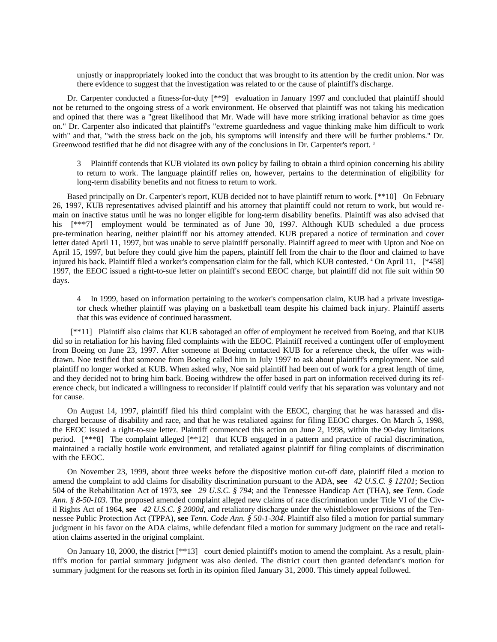unjustly or inappropriately looked into the conduct that was brought to its attention by the credit union. Nor was there evidence to suggest that the investigation was related to or the cause of plaintiff's discharge.

Dr. Carpenter conducted a fitness-for-duty [\*\*9] evaluation in January 1997 and concluded that plaintiff should not be returned to the ongoing stress of a work environment. He observed that plaintiff was not taking his medication and opined that there was a "great likelihood that Mr. Wade will have more striking irrational behavior as time goes on." Dr. Carpenter also indicated that plaintiff's "extreme guardedness and vague thinking make him difficult to work with" and that, "with the stress back on the job, his symptoms will intensify and there will be further problems." Dr. Greenwood testified that he did not disagree with any of the conclusions in Dr. Carpenter's report.<sup>3</sup>

3 Plaintiff contends that KUB violated its own policy by failing to obtain a third opinion concerning his ability to return to work. The language plaintiff relies on, however, pertains to the determination of eligibility for long-term disability benefits and not fitness to return to work.

Based principally on Dr. Carpenter's report, KUB decided not to have plaintiff return to work. [\*\*10] On February 26, 1997, KUB representatives advised plaintiff and his attorney that plaintiff could not return to work, but would remain on inactive status until he was no longer eligible for long-term disability benefits. Plaintiff was also advised that his [\*\*\*7] employment would be terminated as of June 30, 1997. Although KUB scheduled a due process pre-termination hearing, neither plaintiff nor his attorney attended. KUB prepared a notice of termination and cover letter dated April 11, 1997, but was unable to serve plaintiff personally. Plaintiff agreed to meet with Upton and Noe on April 15, 1997, but before they could give him the papers, plaintiff fell from the chair to the floor and claimed to have injured his back. Plaintiff filed a worker's compensation claim for the fall, which KUB contested. 4 On April 11, [\*458] 1997, the EEOC issued a right-to-sue letter on plaintiff's second EEOC charge, but plaintiff did not file suit within 90 days.

4 In 1999, based on information pertaining to the worker's compensation claim, KUB had a private investigator check whether plaintiff was playing on a basketball team despite his claimed back injury. Plaintiff asserts that this was evidence of continued harassment.

 [\*\*11] Plaintiff also claims that KUB sabotaged an offer of employment he received from Boeing, and that KUB did so in retaliation for his having filed complaints with the EEOC. Plaintiff received a contingent offer of employment from Boeing on June 23, 1997. After someone at Boeing contacted KUB for a reference check, the offer was withdrawn. Noe testified that someone from Boeing called him in July 1997 to ask about plaintiff's employment. Noe said plaintiff no longer worked at KUB. When asked why, Noe said plaintiff had been out of work for a great length of time, and they decided not to bring him back. Boeing withdrew the offer based in part on information received during its reference check, but indicated a willingness to reconsider if plaintiff could verify that his separation was voluntary and not for cause.

On August 14, 1997, plaintiff filed his third complaint with the EEOC, charging that he was harassed and discharged because of disability and race, and that he was retaliated against for filing EEOC charges. On March 5, 1998, the EEOC issued a right-to-sue letter. Plaintiff commenced this action on June 2, 1998, within the 90-day limitations period. [\*\*\*8] The complaint alleged [\*\*12] that KUB engaged in a pattern and practice of racial discrimination, maintained a racially hostile work environment, and retaliated against plaintiff for filing complaints of discrimination with the EEOC.

On November 23, 1999, about three weeks before the dispositive motion cut-off date, plaintiff filed a motion to amend the complaint to add claims for disability discrimination pursuant to the ADA, **see** *42 U.S.C. § 12101*; Section 504 of the Rehabilitation Act of 1973, **see** *29 U.S.C. § 794*; and the Tennessee Handicap Act (THA), **see** *Tenn. Code Ann. § 8-50-103*. The proposed amended complaint alleged new claims of race discrimination under Title VI of the Civil Rights Act of 1964, **see** *42 U.S.C. § 2000d*, and retaliatory discharge under the whistleblower provisions of the Tennessee Public Protection Act (TPPA), **see** *Tenn. Code Ann. § 50-1-304*. Plaintiff also filed a motion for partial summary judgment in his favor on the ADA claims, while defendant filed a motion for summary judgment on the race and retaliation claims asserted in the original complaint.

On January 18, 2000, the district [\*\*13] court denied plaintiff's motion to amend the complaint. As a result, plaintiff's motion for partial summary judgment was also denied. The district court then granted defendant's motion for summary judgment for the reasons set forth in its opinion filed January 31, 2000. This timely appeal followed.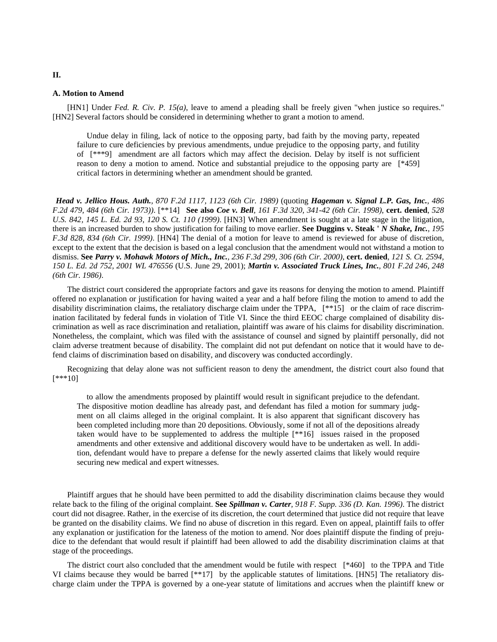#### **A. Motion to Amend**

[HN1] Under *Fed. R. Civ. P. 15(a)*, leave to amend a pleading shall be freely given "when justice so requires." [HN2] Several factors should be considered in determining whether to grant a motion to amend.

 Undue delay in filing, lack of notice to the opposing party, bad faith by the moving party, repeated failure to cure deficiencies by previous amendments, undue prejudice to the opposing party, and futility of [\*\*\*9] amendment are all factors which may affect the decision. Delay by itself is not sufficient reason to deny a motion to amend. Notice and substantial prejudice to the opposing party are [\*459] critical factors in determining whether an amendment should be granted.

*Head v. Jellico Hous. Auth., 870 F.2d 1117, 1123 (6th Cir. 1989)* (quoting *Hageman v. Signal L.P. Gas, Inc., 486 F.2d 479, 484 (6th Cir. 1973))*. [\*\*14] **See also** *Coe v. Bell, 161 F.3d 320, 341-42 (6th Cir. 1998)*, **cert. denied**, *528 U.S. 842, 145 L. Ed. 2d 93, 120 S. Ct. 110 (1999)*. [HN3] When amendment is sought at a late stage in the litigation, there is an increased burden to show justification for failing to move earlier. **See Duggins v. Steak '** *N Shake, Inc., 195 F.3d 828, 834 (6th Cir. 1999)*. [HN4] The denial of a motion for leave to amend is reviewed for abuse of discretion, except to the extent that the decision is based on a legal conclusion that the amendment would not withstand a motion to dismiss. **See** *Parry v. Mohawk Motors of Mich., Inc., 236 F.3d 299, 306 (6th Cir. 2000)*, **cert. denied**, *121 S. Ct. 2594, 150 L. Ed. 2d 752, 2001 WL 476556* (U.S. June 29, 2001); *Martin v. Associated Truck Lines, Inc., 801 F.2d 246, 248 (6th Cir. 1986)*.

The district court considered the appropriate factors and gave its reasons for denying the motion to amend. Plaintiff offered no explanation or justification for having waited a year and a half before filing the motion to amend to add the disability discrimination claims, the retaliatory discharge claim under the TPPA, [\*\*15] or the claim of race discrimination facilitated by federal funds in violation of Title VI. Since the third EEOC charge complained of disability discrimination as well as race discrimination and retaliation, plaintiff was aware of his claims for disability discrimination. Nonetheless, the complaint, which was filed with the assistance of counsel and signed by plaintiff personally, did not claim adverse treatment because of disability. The complaint did not put defendant on notice that it would have to defend claims of discrimination based on disability, and discovery was conducted accordingly.

Recognizing that delay alone was not sufficient reason to deny the amendment, the district court also found that [\*\*\*10]

 to allow the amendments proposed by plaintiff would result in significant prejudice to the defendant. The dispositive motion deadline has already past, and defendant has filed a motion for summary judgment on all claims alleged in the original complaint. It is also apparent that significant discovery has been completed including more than 20 depositions. Obviously, some if not all of the depositions already taken would have to be supplemented to address the multiple [\*\*16] issues raised in the proposed amendments and other extensive and additional discovery would have to be undertaken as well. In addition, defendant would have to prepare a defense for the newly asserted claims that likely would require securing new medical and expert witnesses.

Plaintiff argues that he should have been permitted to add the disability discrimination claims because they would relate back to the filing of the original complaint. **See** *Spillman v. Carter, 918 F. Supp. 336 (D. Kan. 1996)*. The district court did not disagree. Rather, in the exercise of its discretion, the court determined that justice did not require that leave be granted on the disability claims. We find no abuse of discretion in this regard. Even on appeal, plaintiff fails to offer any explanation or justification for the lateness of the motion to amend. Nor does plaintiff dispute the finding of prejudice to the defendant that would result if plaintiff had been allowed to add the disability discrimination claims at that stage of the proceedings.

The district court also concluded that the amendment would be futile with respect [\*460] to the TPPA and Title VI claims because they would be barred [\*\*17] by the applicable statutes of limitations. [HN5] The retaliatory discharge claim under the TPPA is governed by a one-year statute of limitations and accrues when the plaintiff knew or

# **II.**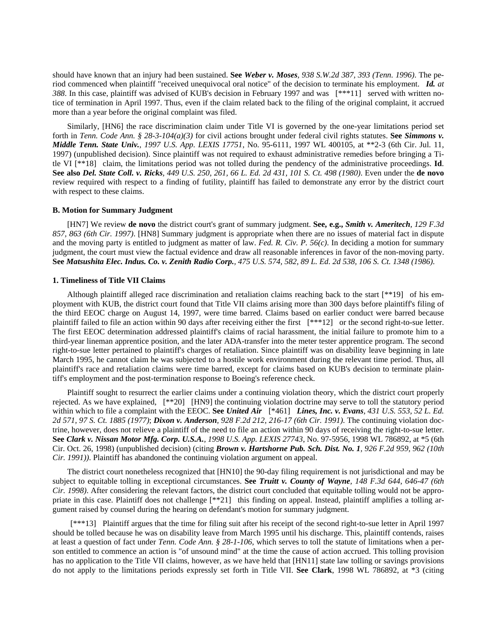should have known that an injury had been sustained. **See** *Weber v. Moses, 938 S.W.2d 387, 393 (Tenn. 1996)*. The period commenced when plaintiff "received unequivocal oral notice" of the decision to terminate his employment. *Id. at 388*. In this case, plaintiff was advised of KUB's decision in February 1997 and was [\*\*\*11] served with written notice of termination in April 1997. Thus, even if the claim related back to the filing of the original complaint, it accrued more than a year before the original complaint was filed.

Similarly, [HN6] the race discrimination claim under Title VI is governed by the one-year limitations period set forth in *Tenn. Code Ann. § 28-3-104(a)(3)* for civil actions brought under federal civil rights statutes. **See** *Simmons v. Middle Tenn. State Univ., 1997 U.S. App. LEXIS 17751*, No. 95-6111, 1997 WL 400105, at \*\*2-3 (6th Cir. Jul. 11, 1997) (unpublished decision). Since plaintiff was not required to exhaust administrative remedies before bringing a Title VI [\*\*18] claim, the limitations period was not tolled during the pendency of the administrative proceedings. **Id**. **See also** *Del. State Coll. v. Ricks, 449 U.S. 250, 261, 66 L. Ed. 2d 431, 101 S. Ct. 498 (1980)*. Even under the **de novo** review required with respect to a finding of futility, plaintiff has failed to demonstrate any error by the district court with respect to these claims.

### **B. Motion for Summary Judgment**

[HN7] We review **de novo** the district court's grant of summary judgment. **See, e.g.,** *Smith v. Ameritech, 129 F.3d 857, 863 (6th Cir. 1997)*. [HN8] Summary judgment is appropriate when there are no issues of material fact in dispute and the moving party is entitled to judgment as matter of law. *Fed. R. Civ. P. 56(c)*. In deciding a motion for summary judgment, the court must view the factual evidence and draw all reasonable inferences in favor of the non-moving party. **See** *Matsushita Elec. Indus. Co. v. Zenith Radio Corp., 475 U.S. 574, 582, 89 L. Ed. 2d 538, 106 S. Ct. 1348 (1986)*.

### **1. Timeliness of Title VII Claims**

Although plaintiff alleged race discrimination and retaliation claims reaching back to the start [\*\*19] of his employment with KUB, the district court found that Title VII claims arising more than 300 days before plaintiff's filing of the third EEOC charge on August 14, 1997, were time barred. Claims based on earlier conduct were barred because plaintiff failed to file an action within 90 days after receiving either the first  $[***12]$  or the second right-to-sue letter. The first EEOC determination addressed plaintiff's claims of racial harassment, the initial failure to promote him to a third-year lineman apprentice position, and the later ADA-transfer into the meter tester apprentice program. The second right-to-sue letter pertained to plaintiff's charges of retaliation. Since plaintiff was on disability leave beginning in late March 1995, he cannot claim he was subjected to a hostile work environment during the relevant time period. Thus, all plaintiff's race and retaliation claims were time barred, except for claims based on KUB's decision to terminate plaintiff's employment and the post-termination response to Boeing's reference check.

Plaintiff sought to resurrect the earlier claims under a continuing violation theory, which the district court properly rejected. As we have explained, [\*\*20] [HN9] the continuing violation doctrine may serve to toll the statutory period within which to file a complaint with the EEOC. **See** *United Air* [\*461] *Lines, Inc. v. Evans, 431 U.S. 553, 52 L. Ed. 2d 571, 97 S. Ct. 1885 (1977)*; *Dixon v. Anderson, 928 F.2d 212, 216-17 (6th Cir. 1991)*. The continuing violation doctrine, however, does not relieve a plaintiff of the need to file an action within 90 days of receiving the right-to-sue letter. **See** *Clark v. Nissan Motor Mfg. Corp. U.S.A., 1998 U.S. App. LEXIS 27743*, No. 97-5956, 1998 WL 786892, at \*5 (6th Cir. Oct. 26, 1998) (unpublished decision) (citing *Brown v. Hartshorne Pub. Sch. Dist. No. 1, 926 F.2d 959, 962 (10th Cir. 1991))*. Plaintiff has abandoned the continuing violation argument on appeal.

The district court nonetheless recognized that [HN10] the 90-day filing requirement is not jurisdictional and may be subject to equitable tolling in exceptional circumstances. **See** *Truitt v. County of Wayne, 148 F.3d 644, 646-47 (6th Cir. 1998)*. After considering the relevant factors, the district court concluded that equitable tolling would not be appropriate in this case. Plaintiff does not challenge [\*\*21] this finding on appeal. Instead, plaintiff amplifies a tolling argument raised by counsel during the hearing on defendant's motion for summary judgment.

 [\*\*\*13] Plaintiff argues that the time for filing suit after his receipt of the second right-to-sue letter in April 1997 should be tolled because he was on disability leave from March 1995 until his discharge. This, plaintiff contends, raises at least a question of fact under *Tenn. Code Ann. § 28-1-106*, which serves to toll the statute of limitations when a person entitled to commence an action is "of unsound mind" at the time the cause of action accrued. This tolling provision has no application to the Title VII claims, however, as we have held that [HN11] state law tolling or savings provisions do not apply to the limitations periods expressly set forth in Title VII. **See Clark**, 1998 WL 786892, at \*3 (citing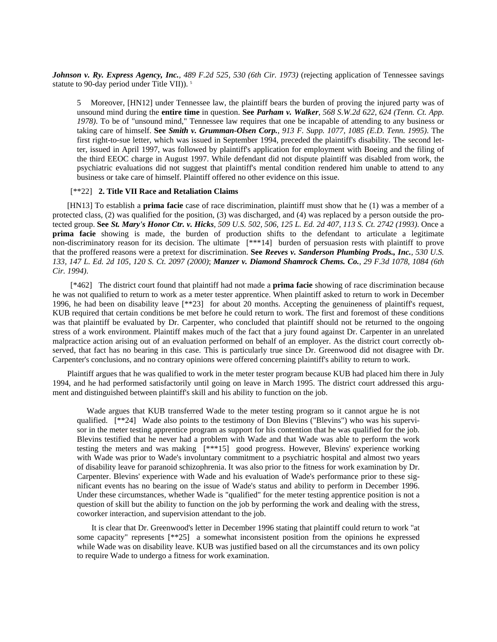*Johnson v. Ry. Express Agency, Inc., 489 F.2d 525, 530 (6th Cir. 1973)* (rejecting application of Tennessee savings statute to 90-day period under Title VII)).<sup>5</sup>

5 Moreover, [HN12] under Tennessee law, the plaintiff bears the burden of proving the injured party was of unsound mind during the **entire time** in question. **See** *Parham v. Walker, 568 S.W.2d 622, 624 (Tenn. Ct. App. 1978)*. To be of "unsound mind," Tennessee law requires that one be incapable of attending to any business or taking care of himself. **See** *Smith v. Grumman-Olsen Corp., 913 F. Supp. 1077, 1085 (E.D. Tenn. 1995)*. The first right-to-sue letter, which was issued in September 1994, preceded the plaintiff's disability. The second letter, issued in April 1997, was followed by plaintiff's application for employment with Boeing and the filing of the third EEOC charge in August 1997. While defendant did not dispute plaintiff was disabled from work, the psychiatric evaluations did not suggest that plaintiff's mental condition rendered him unable to attend to any business or take care of himself. Plaintiff offered no other evidence on this issue.

# [\*\*22] **2. Title VII Race and Retaliation Claims**

[HN13] To establish a **prima facie** case of race discrimination, plaintiff must show that he (1) was a member of a protected class, (2) was qualified for the position, (3) was discharged, and (4) was replaced by a person outside the protected group. **See** *St. Mary's Honor Ctr. v. Hicks, 509 U.S. 502, 506, 125 L. Ed. 2d 407, 113 S. Ct. 2742 (1993)*. Once a **prima facie** showing is made, the burden of production shifts to the defendant to articulate a legitimate non-discriminatory reason for its decision. The ultimate [\*\*\*14] burden of persuasion rests with plaintiff to prove that the proffered reasons were a pretext for discrimination. **See** *Reeves v. Sanderson Plumbing Prods., Inc., 530 U.S. 133, 147 L. Ed. 2d 105, 120 S. Ct. 2097 (2000)*; *Manzer v. Diamond Shamrock Chems. Co., 29 F.3d 1078, 1084 (6th Cir. 1994)*.

 [\*462] The district court found that plaintiff had not made a **prima facie** showing of race discrimination because he was not qualified to return to work as a meter tester apprentice. When plaintiff asked to return to work in December 1996, he had been on disability leave [\*\*23] for about 20 months. Accepting the genuineness of plaintiff's request, KUB required that certain conditions be met before he could return to work. The first and foremost of these conditions was that plaintiff be evaluated by Dr. Carpenter, who concluded that plaintiff should not be returned to the ongoing stress of a work environment. Plaintiff makes much of the fact that a jury found against Dr. Carpenter in an unrelated malpractice action arising out of an evaluation performed on behalf of an employer. As the district court correctly observed, that fact has no bearing in this case. This is particularly true since Dr. Greenwood did not disagree with Dr. Carpenter's conclusions, and no contrary opinions were offered concerning plaintiff's ability to return to work.

Plaintiff argues that he was qualified to work in the meter tester program because KUB had placed him there in July 1994, and he had performed satisfactorily until going on leave in March 1995. The district court addressed this argument and distinguished between plaintiff's skill and his ability to function on the job.

 Wade argues that KUB transferred Wade to the meter testing program so it cannot argue he is not qualified. [\*\*24] Wade also points to the testimony of Don Blevins ("Blevins") who was his supervisor in the meter testing apprentice program as support for his contention that he was qualified for the job. Blevins testified that he never had a problem with Wade and that Wade was able to perform the work testing the meters and was making [\*\*\*15] good progress. However, Blevins' experience working with Wade was prior to Wade's involuntary commitment to a psychiatric hospital and almost two years of disability leave for paranoid schizophrenia. It was also prior to the fitness for work examination by Dr. Carpenter. Blevins' experience with Wade and his evaluation of Wade's performance prior to these significant events has no bearing on the issue of Wade's status and ability to perform in December 1996. Under these circumstances, whether Wade is "qualified" for the meter testing apprentice position is not a question of skill but the ability to function on the job by performing the work and dealing with the stress, coworker interaction, and supervision attendant to the job.

It is clear that Dr. Greenwood's letter in December 1996 stating that plaintiff could return to work "at some capacity" represents [\*\*25] a somewhat inconsistent position from the opinions he expressed while Wade was on disability leave. KUB was justified based on all the circumstances and its own policy to require Wade to undergo a fitness for work examination.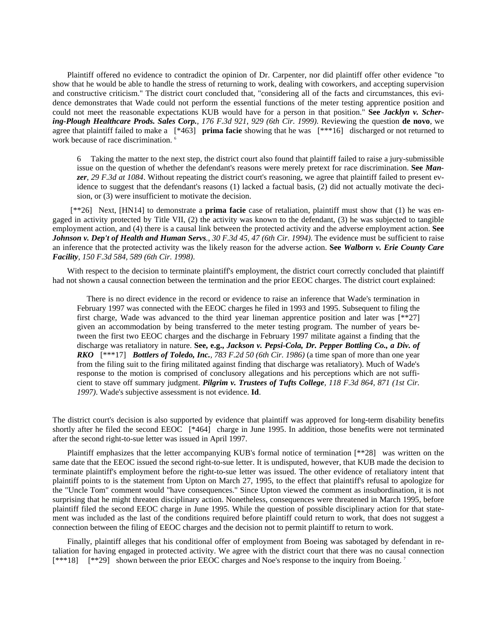Plaintiff offered no evidence to contradict the opinion of Dr. Carpenter, nor did plaintiff offer other evidence "to show that he would be able to handle the stress of returning to work, dealing with coworkers, and accepting supervision and constructive criticism." The district court concluded that, "considering all of the facts and circumstances, this evidence demonstrates that Wade could not perform the essential functions of the meter testing apprentice position and could not meet the reasonable expectations KUB would have for a person in that position." **See** *Jacklyn v. Schering-Plough Healthcare Prods. Sales Corp., 176 F.3d 921, 929 (6th Cir. 1999)*. Reviewing the question **de novo**, we agree that plaintiff failed to make a [\*463] **prima facie** showing that he was [\*\*\*16] discharged or not returned to work because of race discrimination.<sup>6</sup>

6 Taking the matter to the next step, the district court also found that plaintiff failed to raise a jury-submissible issue on the question of whether the defendant's reasons were merely pretext for race discrimination. **See** *Manzer, 29 F.3d at 1084*. Without repeating the district court's reasoning, we agree that plaintiff failed to present evidence to suggest that the defendant's reasons (1) lacked a factual basis, (2) did not actually motivate the decision, or (3) were insufficient to motivate the decision.

 [\*\*26] Next, [HN14] to demonstrate a **prima facie** case of retaliation, plaintiff must show that (1) he was engaged in activity protected by Title VII, (2) the activity was known to the defendant, (3) he was subjected to tangible employment action, and (4) there is a causal link between the protected activity and the adverse employment action. **See**  *Johnson v. Dep't of Health and Human Servs., 30 F.3d 45, 47 (6th Cir. 1994)*. The evidence must be sufficient to raise an inference that the protected activity was the likely reason for the adverse action. **See** *Walborn v. Erie County Care Facility, 150 F.3d 584, 589 (6th Cir. 1998)*.

With respect to the decision to terminate plaintiff's employment, the district court correctly concluded that plaintiff had not shown a causal connection between the termination and the prior EEOC charges. The district court explained:

 There is no direct evidence in the record or evidence to raise an inference that Wade's termination in February 1997 was connected with the EEOC charges he filed in 1993 and 1995. Subsequent to filing the first charge, Wade was advanced to the third year lineman apprentice position and later was  $[**27]$ given an accommodation by being transferred to the meter testing program. The number of years between the first two EEOC charges and the discharge in February 1997 militate against a finding that the discharge was retaliatory in nature. **See, e.g.,** *Jackson v. Pepsi-Cola, Dr. Pepper Bottling Co., a Div. of RKO* [\*\*\*17] *Bottlers of Toledo, Inc., 783 F.2d 50 (6th Cir. 1986)* (a time span of more than one year from the filing suit to the firing militated against finding that discharge was retaliatory). Much of Wade's response to the motion is comprised of conclusory allegations and his perceptions which are not sufficient to stave off summary judgment. *Pilgrim v. Trustees of Tufts College, 118 F.3d 864, 871 (1st Cir. 1997)*. Wade's subjective assessment is not evidence. **Id**.

The district court's decision is also supported by evidence that plaintiff was approved for long-term disability benefits shortly after he filed the second EEOC [\*464] charge in June 1995. In addition, those benefits were not terminated after the second right-to-sue letter was issued in April 1997.

Plaintiff emphasizes that the letter accompanying KUB's formal notice of termination [\*\*28] was written on the same date that the EEOC issued the second right-to-sue letter. It is undisputed, however, that KUB made the decision to terminate plaintiff's employment before the right-to-sue letter was issued. The other evidence of retaliatory intent that plaintiff points to is the statement from Upton on March 27, 1995, to the effect that plaintiff's refusal to apologize for the "Uncle Tom" comment would "have consequences." Since Upton viewed the comment as insubordination, it is not surprising that he might threaten disciplinary action. Nonetheless, consequences were threatened in March 1995, before plaintiff filed the second EEOC charge in June 1995. While the question of possible disciplinary action for that statement was included as the last of the conditions required before plaintiff could return to work, that does not suggest a connection between the filing of EEOC charges and the decision not to permit plaintiff to return to work.

Finally, plaintiff alleges that his conditional offer of employment from Boeing was sabotaged by defendant in retaliation for having engaged in protected activity. We agree with the district court that there was no causal connection [\*\*\*18] [\*\*29] shown between the prior EEOC charges and Noe's response to the inquiry from Boeing. 7